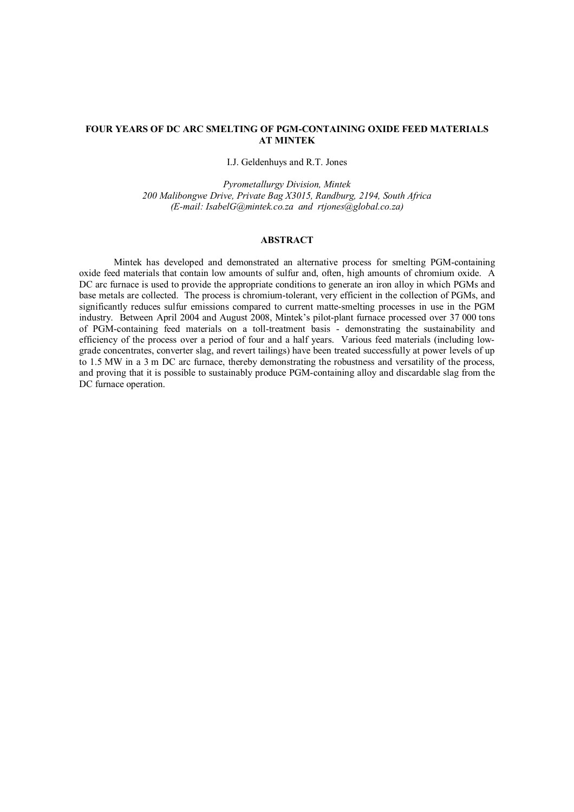# **FOUR YEARS OF DC ARC SMELTING OF PGM-CONTAINING OXIDE FEED MATERIALS AT MINTEK**

I.J. Geldenhuys and R.T. Jones

*Pyrometallurgy Division, Mintek 200 Malibongwe Drive, Private Bag X3015, Randburg, 2194, South Africa (E-mail: [IsabelG@mintek.co.za](mailto:IsabelG@mintek.co.za) and [rtjones@global.co.za\)](mailto:rtjones@global.co.za))*

# **ABSTRACT**

Mintek has developed and demonstrated an alternative process for smelting PGM-containing oxide feed materials that contain low amounts of sulfur and, often, high amounts of chromium oxide. A DC arc furnace is used to provide the appropriate conditions to generate an iron alloy in which PGMs and base metals are collected. The process is chromium-tolerant, very efficient in the collection of PGMs, and significantly reduces sulfur emissions compared to current matte-smelting processes in use in the PGM industry. Between April 2004 and August 2008, Mintek's pilot-plant furnace processed over 37 000 tons of PGM-containing feed materials on a toll-treatment basis - demonstrating the sustainability and efficiency of the process over a period of four and a half years. Various feed materials (including lowgrade concentrates, converter slag, and revert tailings) have been treated successfully at power levels of up to 1.5 MW in a 3 m DC arc furnace, thereby demonstrating the robustness and versatility of the process, and proving that it is possible to sustainably produce PGM-containing alloy and discardable slag from the DC furnace operation.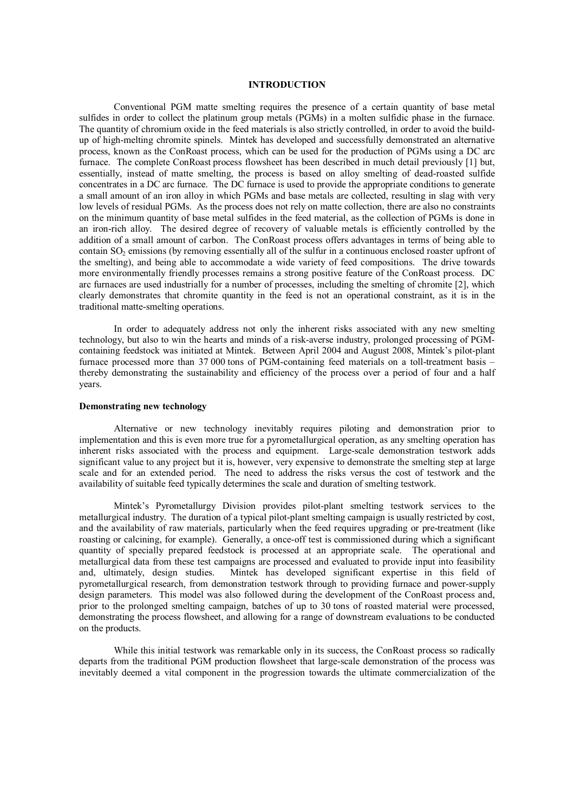## **INTRODUCTION**

Conventional PGM matte smelting requires the presence of a certain quantity of base metal sulfides in order to collect the platinum group metals (PGMs) in a molten sulfidic phase in the furnace. The quantity of chromium oxide in the feed materials is also strictly controlled, in order to avoid the buildup of high-melting chromite spinels. Mintek has developed and successfully demonstrated an alternative process, known as the ConRoast process, which can be used for the production of PGMs using a DC arc furnace. The complete ConRoast process flowsheet has been described in much detail previously [1] but, essentially, instead of matte smelting, the process is based on alloy smelting of dead-roasted sulfide concentrates in a DC arc furnace. The DC furnace is used to provide the appropriate conditions to generate a small amount of an iron alloy in which PGMs and base metals are collected, resulting in slag with very low levels of residual PGMs. As the process does not rely on matte collection, there are also no constraints on the minimum quantity of base metal sulfides in the feed material, as the collection of PGMs is done in an iron-rich alloy. The desired degree of recovery of valuable metals is efficiently controlled by the addition of a small amount of carbon. The ConRoast process offers advantages in terms of being able to contain SO<sub>2</sub> emissions (by removing essentially all of the sulfur in a continuous enclosed roaster upfront of the smelting), and being able to accommodate a wide variety of feed compositions. The drive towards more environmentally friendly processes remains a strong positive feature of the ConRoast process. DC arc furnaces are used industrially for a number of processes, including the smelting of chromite [2], which clearly demonstrates that chromite quantity in the feed is not an operational constraint, as it is in the traditional matte-smelting operations.

In order to adequately address not only the inherent risks associated with any new smelting technology, but also to win the hearts and minds of a risk-averse industry, prolonged processing of PGMcontaining feedstock was initiated at Mintek. Between April 2004 and August 2008, Mintek's pilot-plant furnace processed more than 37 000 tons of PGM-containing feed materials on a toll-treatment basis – thereby demonstrating the sustainability and efficiency of the process over a period of four and a half years.

## **Demonstrating new technology**

Alternative or new technology inevitably requires piloting and demonstration prior to implementation and this is even more true for a pyrometallurgical operation, as any smelting operation has inherent risks associated with the process and equipment. Large-scale demonstration testwork adds significant value to any project but it is, however, very expensive to demonstrate the smelting step at large scale and for an extended period. The need to address the risks versus the cost of testwork and the availability of suitable feed typically determines the scale and duration of smelting testwork.

Mintek's Pyrometallurgy Division provides pilot-plant smelting testwork services to the metallurgical industry. The duration of a typical pilot-plant smelting campaign is usually restricted by cost, and the availability of raw materials, particularly when the feed requires upgrading or pre-treatment (like roasting or calcining, for example). Generally, a once-off test is commissioned during which a significant quantity of specially prepared feedstock is processed at an appropriate scale. The operational and metallurgical data from these test campaigns are processed and evaluated to provide input into feasibility and, ultimately, design studies. Mintek has developed significant expertise in this field of pyrometallurgical research, from demonstration testwork through to providing furnace and power-supply design parameters. This model was also followed during the development of the ConRoast process and, prior to the prolonged smelting campaign, batches of up to 30 tons of roasted material were processed, demonstrating the process flowsheet, and allowing for a range of downstream evaluations to be conducted on the products.

While this initial testwork was remarkable only in its success, the ConRoast process so radically departs from the traditional PGM production flowsheet that large-scale demonstration of the process was inevitably deemed a vital component in the progression towards the ultimate commercialization of the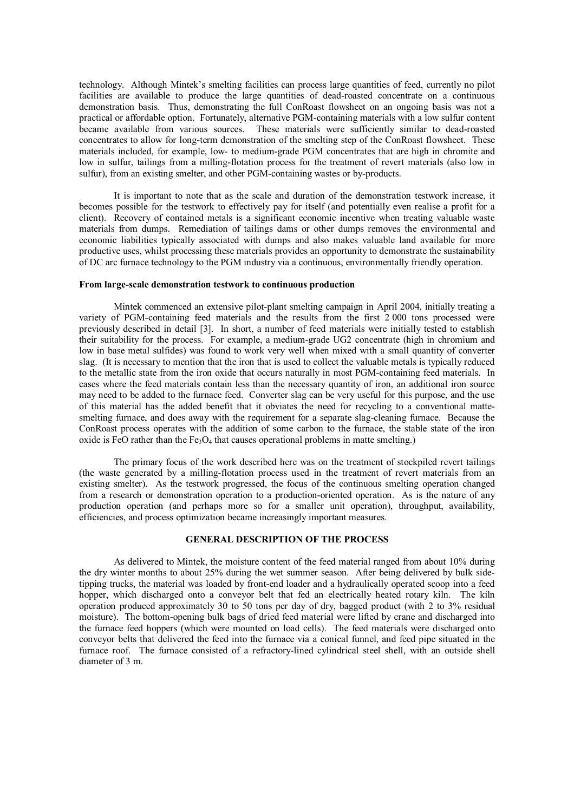technology. Although Mintek's smelting facilities can process large quantities of feed, currently no pilot facilities are available to produce the large quantities of dead-roasted concentrate on a continuous demonstration basis. Thus, demonstrating the full ConRoast flowsheet on an ongoing basis was not a practical or affordable option. Fortunately, alternative PGM-containing materials with a low sulfur content became available from various sources. These materials were sufficiently similar to dead-roasted concentrates to allow for long-term demonstration of the smelting step of the ConRoast flowsheet. These materials included, for example, low- to medium-grade PGM concentrates that are high in chromite and low in sulfur, tailings from a milling-flotation process for the treatment of revert materials (also low in sulfur), from an existing smelter, and other PGM-containing wastes or by-products.

It is important to note that as the scale and duration of the demonstration testwork increase, it becomes possible for the testwork to effectively pay for itself (and potentially even realise a profit for a client). Recovery of contained metals is a significant economic incentive when treating valuable waste materials from dumps. Remediation of tailings dams or other dumps removes the environmental and economic liabilities typically associated with dumps and also makes valuable land available for more productive uses, whilst processing these materials provides an opportunity to demonstrate the sustainability of DC arc furnace technology to the PGM industry via a continuous, environmentally friendly operation.

### **From large-scale demonstration testwork to continuous production**

Mintek commenced an extensive pilot-plant smelting campaign in April 2004, initially treating a variety of PGM-containing feed materials and the results from the first 2 000 tons processed were previously described in detail [3]. In short, a number of feed materials were initially tested to establish their suitability for the process. For example, a medium-grade UG2 concentrate (high in chromium and low in base metal sulfides) was found to work very well when mixed with a small quantity of converter slag. (It is necessary to mention that the iron that is used to collect the valuable metals is typically reduced to the metallic state from the iron oxide that occurs naturally in most PGM-containing feed materials. In cases where the feed materials contain less than the necessary quantity of iron, an additional iron source may need to be added to the furnace feed. Converter slag can be very useful for this purpose, and the use of this material has the added benefit that it obviates the need for recycling to a conventional mattesmelting furnace, and does away with the requirement for a separate slag-cleaning furnace. Because the ConRoast process operates with the addition of some carbon to the furnace, the stable state of the iron oxide is FeO rather than the Fe<sub>3</sub>O<sub>4</sub> that causes operational problems in matte smelting.)

The primary focus of the work described here was on the treatment of stockpiled revert tailings (the waste generated by a milling-flotation process used in the treatment of revert materials from an existing smelter). As the testwork progressed, the focus of the continuous smelting operation changed from a research or demonstration operation to a production-oriented operation. As is the nature of any production operation (and perhaps more so for a smaller unit operation), throughput, availability, efficiencies, and process optimization became increasingly important measures.

# **GENERAL DESCRIPTION OF THE PROCESS**

As delivered to Mintek, the moisture content of the feed material ranged from about 10% during the dry winter months to about 25% during the wet summer season. After being delivered by bulk sidetipping trucks, the material was loaded by front-end loader and a hydraulically operated scoop into a feed hopper, which discharged onto a conveyor belt that fed an electrically heated rotary kiln. The kiln operation produced approximately 30 to 50 tons per day of dry, bagged product (with 2 to 3% residual moisture). The bottom-opening bulk bags of dried feed material were lifted by crane and discharged into the furnace feed hoppers (which were mounted on load cells). The feed materials were discharged onto conveyor belts that delivered the feed into the furnace via a conical funnel, and feed pipe situated in the furnace roof. The furnace consisted of a refractory-lined cylindrical steel shell, with an outside shell diameter of 3 m.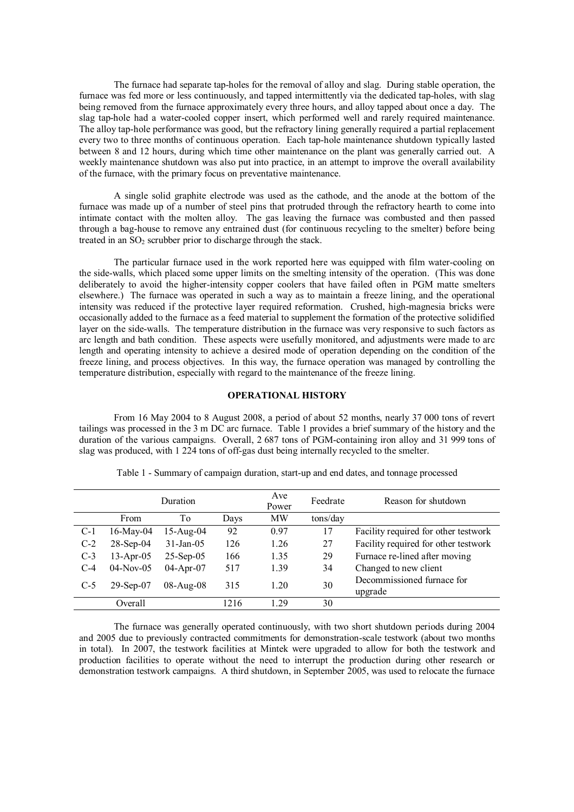The furnace had separate tap-holes for the removal of alloy and slag. During stable operation, the furnace was fed more or less continuously, and tapped intermittently via the dedicated tap-holes, with slag being removed from the furnace approximately every three hours, and alloy tapped about once a day. The slag tap-hole had a water-cooled copper insert, which performed well and rarely required maintenance. The alloy tap-hole performance was good, but the refractory lining generally required a partial replacement every two to three months of continuous operation. Each tap-hole maintenance shutdown typically lasted between 8 and 12 hours, during which time other maintenance on the plant was generally carried out. A weekly maintenance shutdown was also put into practice, in an attempt to improve the overall availability of the furnace, with the primary focus on preventative maintenance.

A single solid graphite electrode was used as the cathode, and the anode at the bottom of the furnace was made up of a number of steel pins that protruded through the refractory hearth to come into intimate contact with the molten alloy. The gas leaving the furnace was combusted and then passed through a bag-house to remove any entrained dust (for continuous recycling to the smelter) before being treated in an  $SO_2$  scrubber prior to discharge through the stack.

The particular furnace used in the work reported here was equipped with film water-cooling on the side-walls, which placed some upper limits on the smelting intensity of the operation. (This was done deliberately to avoid the higher-intensity copper coolers that have failed often in PGM matte smelters elsewhere.) The furnace was operated in such a way as to maintain a freeze lining, and the operational intensity was reduced if the protective layer required reformation. Crushed, high-magnesia bricks were occasionally added to the furnace as a feed material to supplement the formation of the protective solidified layer on the side-walls. The temperature distribution in the furnace was very responsive to such factors as arc length and bath condition. These aspects were usefully monitored, and adjustments were made to arc length and operating intensity to achieve a desired mode of operation depending on the condition of the freeze lining, and process objectives. In this way, the furnace operation was managed by controlling the temperature distribution, especially with regard to the maintenance of the freeze lining.

# **OPERATIONAL HISTORY**

From 16 May 2004 to 8 August 2008, a period of about 52 months, nearly 37 000 tons of revert tailings was processed in the 3 m DC arc furnace. Table 1 provides a brief summary of the history and the duration of the various campaigns. Overall, 2 687 tons of PGM-containing iron alloy and 31 999 tons of slag was produced, with 1 224 tons of off-gas dust being internally recycled to the smelter.

|       |              | Duration        |      | Ave<br>Power | Feedrate | Reason for shutdown                   |
|-------|--------------|-----------------|------|--------------|----------|---------------------------------------|
|       | From         | To              | Days | <b>MW</b>    | tons/day |                                       |
| $C-1$ | $16$ -May-04 | $15$ -Aug-04    | 92   | 0.97         | 17       | Facility required for other testwork  |
| $C-2$ | $28$ -Sep-04 | $31 - Jan - 05$ | 126  | 1.26         | 27       | Facility required for other testwork  |
| $C-3$ | $13-Apr-05$  | $25-Sep-05$     | 166  | 1.35         | 29       | Furnace re-lined after moving         |
| $C-4$ | $04-Nov-05$  | $04-Apr-07$     | 517  | 1.39         | 34       | Changed to new client                 |
| $C-5$ | $29$ -Sep-07 | $08$ -Aug- $08$ | 315  | 1.20         | 30       | Decommissioned furnace for<br>upgrade |
|       | Overall      |                 | 1216 | 1 29         | 30       |                                       |

Table 1 - Summary of campaign duration, start-up and end dates, and tonnage processed

The furnace was generally operated continuously, with two short shutdown periods during 2004 and 2005 due to previously contracted commitments for demonstration-scale testwork (about two months in total). In 2007, the testwork facilities at Mintek were upgraded to allow for both the testwork and production facilities to operate without the need to interrupt the production during other research or demonstration testwork campaigns. A third shutdown, in September 2005, was used to relocate the furnace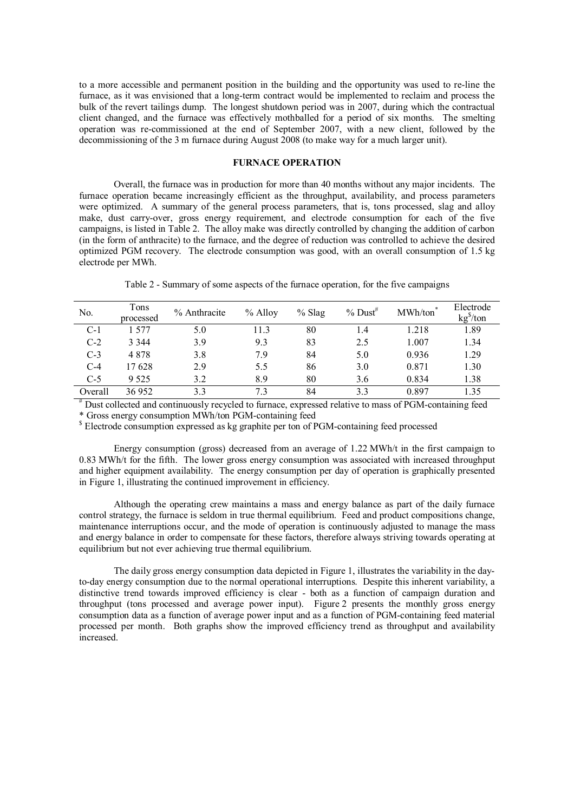to a more accessible and permanent position in the building and the opportunity was used to re-line the furnace, as it was envisioned that a long-term contract would be implemented to reclaim and process the bulk of the revert tailings dump. The longest shutdown period was in 2007, during which the contractual client changed, and the furnace was effectively mothballed for a period of six months. The smelting operation was re-commissioned at the end of September 2007, with a new client, followed by the decommissioning of the 3 m furnace during August 2008 (to make way for a much larger unit).

# **FURNACE OPERATION**

Overall, the furnace was in production for more than 40 months without any major incidents. The furnace operation became increasingly efficient as the throughput, availability, and process parameters were optimized. A summary of the general process parameters, that is, tons processed, slag and alloy make, dust carry-over, gross energy requirement, and electrode consumption for each of the five campaigns, is listed in Table 2. The alloy make was directly controlled by changing the addition of carbon (in the form of anthracite) to the furnace, and the degree of reduction was controlled to achieve the desired optimized PGM recovery. The electrode consumption was good, with an overall consumption of 1.5 kg electrode per MWh.

Table 2 - Summary of some aspects of the furnace operation, for the five campaigns

| No.     | Tons<br>processed | % Anthracite | $%$ Alloy | $%$ Slag | $%$ Dust <sup>#</sup> | MWh/ton | Electrode<br>kg <sup>§</sup> /ton |
|---------|-------------------|--------------|-----------|----------|-----------------------|---------|-----------------------------------|
| $C-1$   | 1.577             | 5.0          | 11.3      | 80       | 1.4                   | 1.218   | 1.89                              |
| $C-2$   | 3 3 4 4           | 3.9          | 9.3       | 83       | 2.5                   | 1.007   | 1.34                              |
| $C-3$   | 4878              | 3.8          | 7.9       | 84       | 5.0                   | 0.936   | 1.29                              |
| $C-4$   | 17628             | 2.9          | 5.5       | 86       | 3.0                   | 0.871   | 1.30                              |
| $C-5$   | 9 5 2 5           | 3.2          | 8.9       | 80       | 3.6                   | 0.834   | 1.38                              |
| Overall | 36 952            | 3.3          | 73        | 84       | 3.3                   | 0.897   | 1.35                              |

# Dust collected and continuously recycled to furnace, expressed relative to mass of PGM-containing feed \* Gross energy consumption MWh/ton PGM-containing feed

\$ Electrode consumption expressed as kg graphite per ton of PGM-containing feed processed

Energy consumption (gross) decreased from an average of 1.22 MWh/t in the first campaign to 0.83 MWh/t for the fifth. The lower gross energy consumption was associated with increased throughput and higher equipment availability. The energy consumption per day of operation is graphically presented in Figure 1, illustrating the continued improvement in efficiency.

Although the operating crew maintains a mass and energy balance as part of the daily furnace control strategy, the furnace is seldom in true thermal equilibrium. Feed and product compositions change, maintenance interruptions occur, and the mode of operation is continuously adjusted to manage the mass and energy balance in order to compensate for these factors, therefore always striving towards operating at equilibrium but not ever achieving true thermal equilibrium.

The daily gross energy consumption data depicted in Figure 1, illustrates the variability in the dayto-day energy consumption due to the normal operational interruptions. Despite this inherent variability, a distinctive trend towards improved efficiency is clear - both as a function of campaign duration and throughput (tons processed and average power input). Figure 2 presents the monthly gross energy consumption data as a function of average power input and as a function of PGM-containing feed material processed per month. Both graphs show the improved efficiency trend as throughput and availability increased.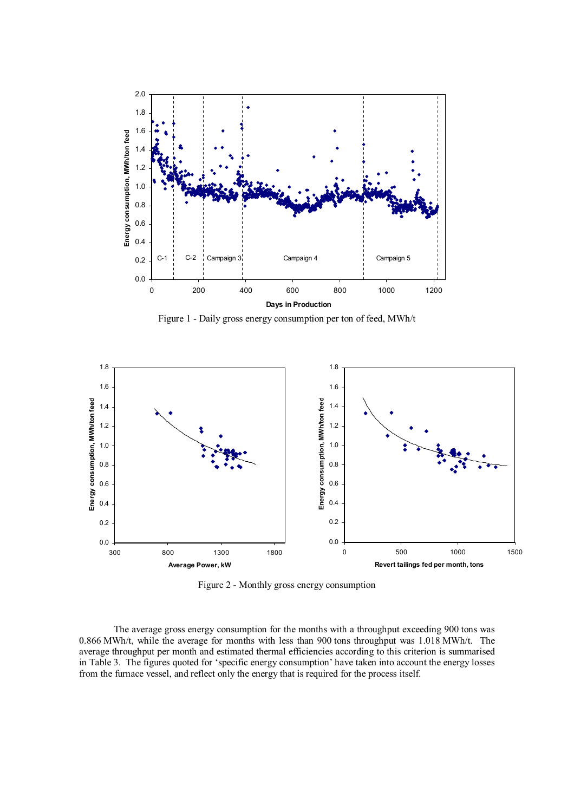

Figure 1 - Daily gross energy consumption per ton of feed, MWh/t



Figure 2 - Monthly gross energy consumption

The average gross energy consumption for the months with a throughput exceeding 900 tons was 0.866 MWh/t, while the average for months with less than 900 tons throughput was 1.018 MWh/t. The average throughput per month and estimated thermal efficiencies according to this criterion is summarised in Table 3. The figures quoted for 'specific energy consumption' have taken into account the energy losses from the furnace vessel, and reflect only the energy that is required for the process itself.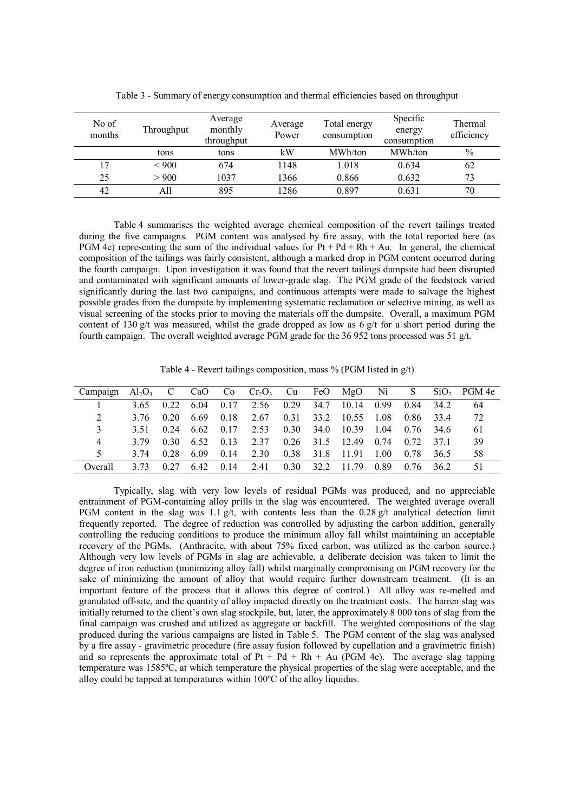| No of<br>months | Throughput | Average<br>monthly<br>throughput | Average<br>Power | Total energy<br>consumption | Specific<br>energy<br>consumption | Thermal<br>efficiency |
|-----------------|------------|----------------------------------|------------------|-----------------------------|-----------------------------------|-----------------------|
|                 | tons       | tons                             | kW               | MWh/ton                     | MWh/ton                           | $\frac{0}{0}$         |
|                 | ${}< 900$  | 674                              | 1148             | 1.018                       | 0.634                             | 62                    |
| 25              | > 900      | 1037                             | 1366             | 0.866                       | 0.632                             | 73                    |
| 42              | All        | 895                              | 1286             | 0.897                       | 0.631                             | 70                    |

Table 3 - Summary of energy consumption and thermal efficiencies based on throughput

Table 4 summarises the weighted average chemical composition of the revert tailings treated during the five campaigns. PGM content was analysed by fire assay, with the total reported here (as PGM 4e) representing the sum of the individual values for  $Pt + Pd + Rh + Au$ . In general, the chemical composition of the tailings was fairly consistent, although a marked drop in PGM content occurred during the fourth campaign. Upon investigation it was found that the revert tailings dumpsite had been disrupted and contaminated with significant amounts of lower-grade slag. The PGM grade of the feedstock varied significantly during the last two campaigns, and continuous attempts were made to salvage the highest possible grades from the dumpsite by implementing systematic reclamation or selective mining, as well as visual screening of the stocks prior to moving the materials off the dumpsite. Overall, a maximum PGM content of 130 g/t was measured, whilst the grade dropped as low as  $6 \frac{g}{t}$  for a short period during the fourth campaign. The overall weighted average PGM grade for the 36 952 tons processed was 51 g/t.

Table 4 - Revert tailings composition, mass  $\%$  (PGM listed in  $g/t$ )

| Campaign | $Al_2O_3$ C |      | CaO  | Co   | $Cr_2O_3$ Cu FeO MgO |      |      |       | Ni Ni | <sub>S</sub> |      | $SiO2$ PGM 4e |
|----------|-------------|------|------|------|----------------------|------|------|-------|-------|--------------|------|---------------|
|          | 3.65        | 0.22 | 6.04 | 0.17 | 2.56                 | 0.29 | 34.7 | 10.14 | 0.99  | 0.84         | 34 2 | 64            |
| 2        | 3.76        | 0.20 | 6.69 | 0.18 | 2.67                 | 0.31 | 33.2 | 10.55 | 1.08  | 0.86         | 334  | 72            |
| 3        | 3.51        | 0.24 | 6.62 | 0.17 | 2.53                 | 0.30 | 34.0 | 10.39 | 1.04  | 0.76         | 34.6 | 61            |
| 4        | 3.79        | 0,30 | 6.52 | 0.13 | 2.37                 | 0.26 | 31.5 | 12.49 | 0.74  | 0.72         | 371  | 39            |
| 5        | 3.74        | 0.28 | 6.09 | 0.14 | 2.30                 | 0.38 | 31.8 | 1191  | 1.00  | 0.78         | 36.5 | 58            |
| Overall  | 3.73        | 0.27 | 642  | 0.14 | 2.41                 | 0.30 | 32.2 | 1179  | 0.89  | 0.76         | 36.2 | 51            |

Typically, slag with very low levels of residual PGMs was produced, and no appreciable entrainment of PGM-containing alloy prills in the slag was encountered. The weighted average overall PGM content in the slag was 1.1 g/t, with contents less than the 0.28 g/t analytical detection limit frequently reported. The degree of reduction was controlled by adjusting the carbon addition, generally controlling the reducing conditions to produce the minimum alloy fall whilst maintaining an acceptable recovery of the PGMs. (Anthracite, with about 75% fixed carbon, was utilized as the carbon source.) Although very low levels of PGMs in slag are achievable, a deliberate decision was taken to limit the degree of iron reduction (minimizing alloy fall) whilst marginally compromising on PGM recovery for the sake of minimizing the amount of alloy that would require further downstream treatment. (It is an important feature of the process that it allows this degree of control.) All alloy was re-melted and granulated off-site, and the quantity of alloy impacted directly on the treatment costs. The barren slag was initially returned to the client's own slag stockpile, but, later, the approximately 8 000 tons of slag from the final campaign was crushed and utilized as aggregate or backfill. The weighted compositions of the slag produced during the various campaigns are listed in Table 5. The PGM content of the slag was analysed by a fire assay - gravimetric procedure (fire assay fusion followed by cupellation and a gravimetric finish) and so represents the approximate total of  $Pt + Pd + Rh + Au$  (PGM 4e). The average slag tapping temperature was 1585ºC, at which temperature the physical properties of the slag were acceptable, and the alloy could be tapped at temperatures within 100ºC of the alloy liquidus.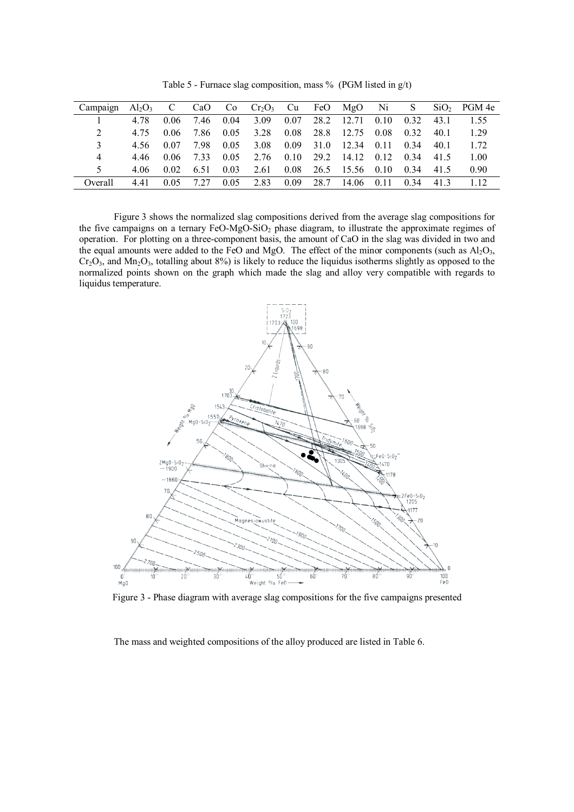| Campaign | $Al_2O_3$ C |      |      |      | CaO Co $Cr_2O_3$ Cu FeO MgO Ni |      |      |                 |      | <sub>S</sub> |      | $SiO2$ PGM 4e |
|----------|-------------|------|------|------|--------------------------------|------|------|-----------------|------|--------------|------|---------------|
|          | 4.78        | 0.06 | 7.46 | 0.04 | 3.09                           | 0.07 | 28.2 | 12.71           | 0.10 | 0.32         | 43.1 | 1.55          |
| 2        | 4.75        | 0.06 | 7.86 | 0.05 | 3.28                           | 0.08 | 28.8 | 12.75           | 0.08 | 0.32         | 40.1 | 1.29          |
| 3        | 4.56        | 0.07 | 798  | 0.05 | 3.08                           | 0.09 | 31.0 | 12.34           | 0.11 | 0.34         | 40.1 | 1 72          |
| 4        | 446         | 0.06 | 733  | 0.05 | 2.76                           | 0.10 | 29.2 | 14.12 0.12      |      | 0.34         | 41.5 | 1.00          |
| 5        | 4.06        | 0.02 | 6.51 | 0.03 | 2.61                           | 0.08 |      | 26.5 15.56 0.10 |      | 0.34         | 41.5 | 0.90          |
| Overall  | 441         | 0.05 | 7 27 | 0.05 | 2.83                           | 0.09 | 28.7 | 14.06           | 0.11 | 0.34         | 41.3 | 1 1 2         |

Table 5 - Furnace slag composition, mass  $\%$  (PGM listed in g/t)

Figure 3 shows the normalized slag compositions derived from the average slag compositions for the five campaigns on a ternary FeO-MgO-SiO<sub>2</sub> phase diagram, to illustrate the approximate regimes of operation. For plotting on a three-component basis, the amount of CaO in the slag was divided in two and the equal amounts were added to the FeO and MgO. The effect of the minor components (such as  $Al_2O_3$ ,  $Cr_2O_3$ , and Mn<sub>2</sub>O<sub>3</sub>, totalling about 8%) is likely to reduce the liquidus isotherms slightly as opposed to the normalized points shown on the graph which made the slag and alloy very compatible with regards to liquidus temperature.



Figure 3 - Phase diagram with average slag compositions for the five campaigns presented

The mass and weighted compositions of the alloy produced are listed in Table 6.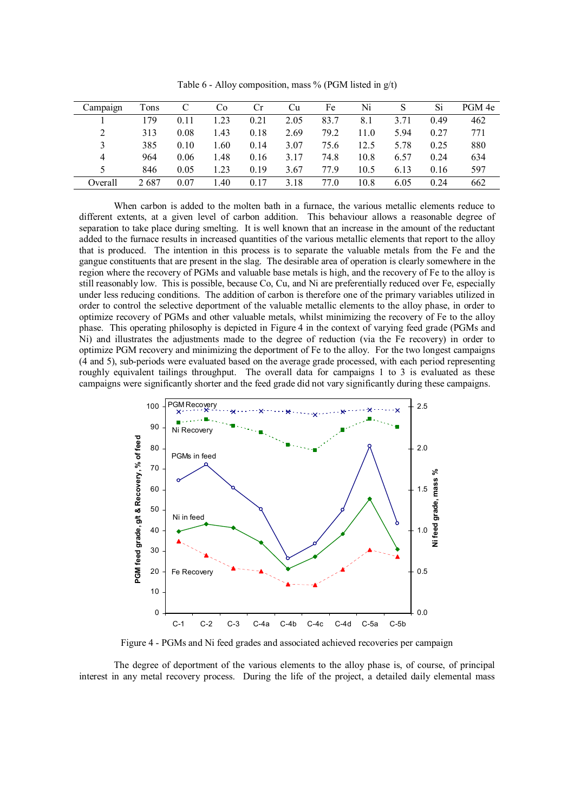| Campaign | Tons |      | C <sub>0</sub> | Сr   | Cu   | Fe   | Ni   |      | Si   | PGM 4e |
|----------|------|------|----------------|------|------|------|------|------|------|--------|
|          | 179  | 0.11 | 1.23           | 0.21 | 2.05 | 83.7 | 8.1  | 3.71 | 0.49 | 462    |
| 2        | 313  | 0.08 | 1.43           | 0.18 | 2.69 | 79.2 | 11.0 | 5.94 | 0.27 | 771    |
| 3        | 385  | 0.10 | 1.60           | 0.14 | 3.07 | 75.6 | 12.5 | 5.78 | 0.25 | 880    |
| 4        | 964  | 0.06 | 1.48           | 0.16 | 3.17 | 74.8 | 10.8 | 6.57 | 0.24 | 634    |
| 5        | 846  | 0.05 | 1.23           | 0.19 | 3.67 | 77.9 | 10.5 | 6.13 | 0.16 | 597    |
| Overall  | 2687 | 0.07 | l.40           | 0.17 | 3.18 | 77.0 | 10.8 | 6.05 | 0.24 | 662    |

Table 6 - Alloy composition, mass  $\%$  (PGM listed in  $g(t)$ )

When carbon is added to the molten bath in a furnace, the various metallic elements reduce to different extents, at a given level of carbon addition. This behaviour allows a reasonable degree of separation to take place during smelting. It is well known that an increase in the amount of the reductant added to the furnace results in increased quantities of the various metallic elements that report to the alloy that is produced. The intention in this process is to separate the valuable metals from the Fe and the gangue constituents that are present in the slag. The desirable area of operation is clearly somewhere in the region where the recovery of PGMs and valuable base metals is high, and the recovery of Fe to the alloy is still reasonably low. This is possible, because Co, Cu, and Ni are preferentially reduced over Fe, especially under less reducing conditions. The addition of carbon is therefore one of the primary variables utilized in order to control the selective deportment of the valuable metallic elements to the alloy phase, in order to optimize recovery of PGMs and other valuable metals, whilst minimizing the recovery of Fe to the alloy phase. This operating philosophy is depicted in Figure 4 in the context of varying feed grade (PGMs and Ni) and illustrates the adjustments made to the degree of reduction (via the Fe recovery) in order to optimize PGM recovery and minimizing the deportment of Fe to the alloy. For the two longest campaigns (4 and 5), sub-periods were evaluated based on the average grade processed, with each period representing roughly equivalent tailings throughput. The overall data for campaigns 1 to 3 is evaluated as these campaigns were significantly shorter and the feed grade did not vary significantly during these campaigns.



Figure 4 - PGMs and Ni feed grades and associated achieved recoveries per campaign

The degree of deportment of the various elements to the alloy phase is, of course, of principal interest in any metal recovery process. During the life of the project, a detailed daily elemental mass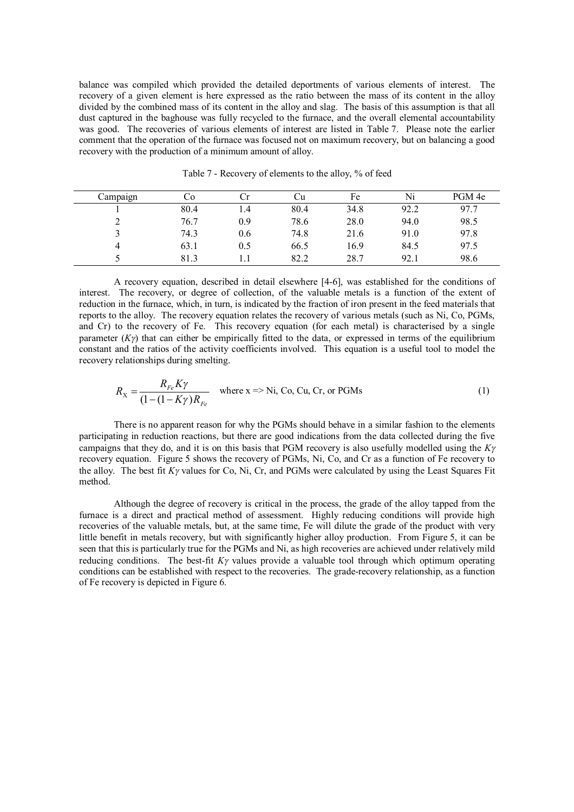balance was compiled which provided the detailed deportments of various elements of interest. The recovery of a given element is here expressed as the ratio between the mass of its content in the alloy divided by the combined mass of its content in the alloy and slag. The basis of this assumption is that all dust captured in the baghouse was fully recycled to the furnace, and the overall elemental accountability was good. The recoveries of various elements of interest are listed in Table 7. Please note the earlier comment that the operation of the furnace was focused not on maximum recovery, but on balancing a good recovery with the production of a minimum amount of alloy.

| Campaign | Cо   |     | υu   | Fe   | Ni   | PGM 4e |
|----------|------|-----|------|------|------|--------|
|          | 80.4 | 1.4 | 80.4 | 34.8 | 92.2 | 97.7   |
|          | 76.7 | 0.9 | 78.6 | 28.0 | 94.0 | 98.5   |
|          | 74.3 | 0.6 | 74.8 | 21.6 | 91.0 | 97.8   |
| 4        | 63.1 | 0.5 | 66.5 | 16.9 | 84.5 | 97.5   |
|          | 81.3 |     | 82.2 | 28.7 | 92.1 | 98.6   |

Table 7 - Recovery of elements to the alloy, % of feed

A recovery equation, described in detail elsewhere [4-6], was established for the conditions of interest. The recovery, or degree of collection, of the valuable metals is a function of the extent of reduction in the furnace, which, in turn, is indicated by the fraction of iron present in the feed materials that reports to the alloy. The recovery equation relates the recovery of various metals (such as Ni, Co, PGMs, and Cr) to the recovery of Fe. This recovery equation (for each metal) is characterised by a single parameter  $(K\gamma)$  that can either be empirically fitted to the data, or expressed in terms of the equilibrium constant and the ratios of the activity coefficients involved. This equation is a useful tool to model the recovery relationships during smelting.

$$
R_{\rm X} = \frac{R_{Fe} K \gamma}{(1 - (1 - K \gamma)R_{Fe})}
$$
 where x => Ni, Co, Cu, Cr, or PGMs (1)

There is no apparent reason for why the PGMs should behave in a similar fashion to the elements participating in reduction reactions, but there are good indications from the data collected during the five campaigns that they do, and it is on this basis that PGM recovery is also usefully modelled using the *K<sup>g</sup>* recovery equation. Figure 5 shows the recovery of PGMs, Ni, Co, and Cr as a function of Fe recovery to the alloy. The best fit  $K\gamma$  values for Co, Ni, Cr, and PGMs were calculated by using the Least Squares Fit method.

Although the degree of recovery is critical in the process, the grade of the alloy tapped from the furnace is a direct and practical method of assessment. Highly reducing conditions will provide high recoveries of the valuable metals, but, at the same time, Fe will dilute the grade of the product with very little benefit in metals recovery, but with significantly higher alloy production. From Figure 5, it can be seen that this is particularly true for the PGMs and Ni, as high recoveries are achieved under relatively mild reducing conditions. The best-fit  $K\gamma$  values provide a valuable tool through which optimum operating conditions can be established with respect to the recoveries. The grade-recovery relationship, as a function of Fe recovery is depicted in Figure 6.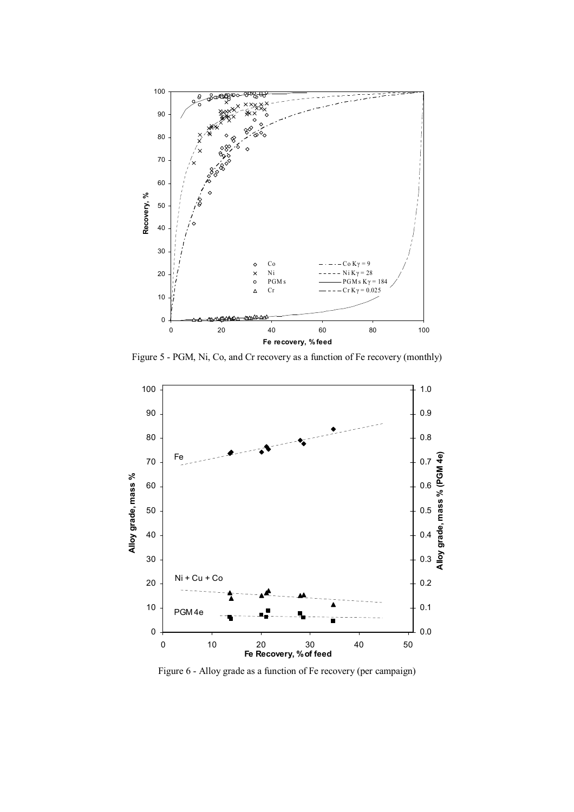

Figure 5 - PGM, Ni, Co, and Cr recovery as a function of Fe recovery (monthly)



Figure 6 - Alloy grade as a function of Fe recovery (per campaign)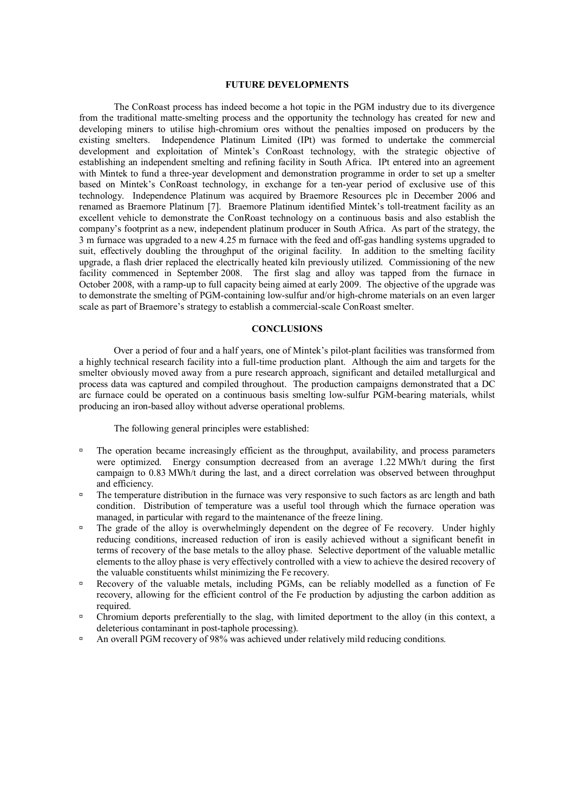## **FUTURE DEVELOPMENTS**

The ConRoast process has indeed become a hot topic in the PGM industry due to its divergence from the traditional matte-smelting process and the opportunity the technology has created for new and developing miners to utilise high-chromium ores without the penalties imposed on producers by the existing smelters. Independence Platinum Limited (IPt) was formed to undertake the commercial development and exploitation of Mintek's ConRoast technology, with the strategic objective of establishing an independent smelting and refining facility in South Africa. IPt entered into an agreement with Mintek to fund a three-year development and demonstration programme in order to set up a smelter based on Mintek's ConRoast technology, in exchange for a ten-year period of exclusive use of this technology. Independence Platinum was acquired by Braemore Resources plc in December 2006 and renamed as Braemore Platinum [7]. Braemore Platinum identified Mintek's toll-treatment facility as an excellent vehicle to demonstrate the ConRoast technology on a continuous basis and also establish the company's footprint as a new, independent platinum producer in South Africa. As part of the strategy, the 3 m furnace was upgraded to a new 4.25 m furnace with the feed and off-gas handling systems upgraded to suit, effectively doubling the throughput of the original facility. In addition to the smelting facility upgrade, a flash drier replaced the electrically heated kiln previously utilized. Commissioning of the new facility commenced in September 2008. The first slag and alloy was tapped from the furnace in October 2008, with a ramp-up to full capacity being aimed at early 2009. The objective of the upgrade was to demonstrate the smelting of PGM-containing low-sulfur and/or high-chrome materials on an even larger scale as part of Braemore's strategy to establish a commercial-scale ConRoast smelter.

## **CONCLUSIONS**

Over a period of four and a half years, one of Mintek's pilot-plant facilities was transformed from a highly technical research facility into a full-time production plant. Although the aim and targets for the smelter obviously moved away from a pure research approach, significant and detailed metallurgical and process data was captured and compiled throughout. The production campaigns demonstrated that a DC arc furnace could be operated on a continuous basis smelting low-sulfur PGM-bearing materials, whilst producing an iron-based alloy without adverse operational problems.

The following general principles were established:

- ˙ The operation became increasingly efficient as the throughput, availability, and process parameters were optimized. Energy consumption decreased from an average 1.22 MWh/t during the first campaign to 0.83 MWh/t during the last, and a direct correlation was observed between throughput and efficiency.
- □ The temperature distribution in the furnace was very responsive to such factors as arc length and bath condition. Distribution of temperature was a useful tool through which the furnace operation was managed, in particular with regard to the maintenance of the freeze lining.
- ˙ The grade of the alloy is overwhelmingly dependent on the degree of Fe recovery. Under highly reducing conditions, increased reduction of iron is easily achieved without a significant benefit in terms of recovery of the base metals to the alloy phase. Selective deportment of the valuable metallic elements to the alloy phase is very effectively controlled with a view to achieve the desired recovery of the valuable constituents whilst minimizing the Fe recovery.
- ˙ Recovery of the valuable metals, including PGMs, can be reliably modelled as a function of Fe recovery, allowing for the efficient control of the Fe production by adjusting the carbon addition as required.
- ˙ Chromium deports preferentially to the slag, with limited deportment to the alloy (in this context, a deleterious contaminant in post-taphole processing).
- ˙ An overall PGM recovery of 98% was achieved under relatively mild reducing conditions.